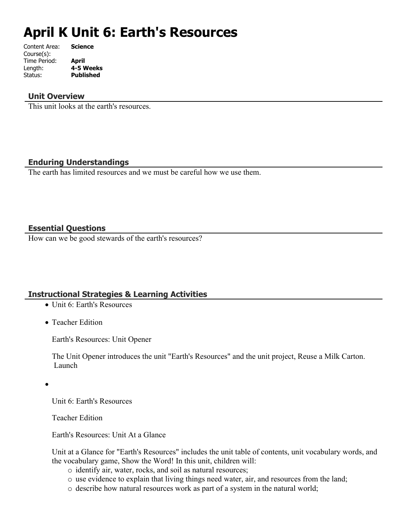# **April K Unit 6: Earth's Resources**

| Content Area: | <b>Science</b>   |
|---------------|------------------|
| Course(s):    |                  |
| Time Period:  | April            |
| Length:       | 4-5 Weeks        |
| Status:       | <b>Published</b> |
|               |                  |

# **Unit Overview**

This unit looks at the earth's resources.

# **Enduring Understandings**

The earth has limited resources and we must be careful how we use them.

# **Essential Questions**

How can we be good stewards of the earth's resources?

# **Instructional Strategies & Learning Activities**

- Unit 6: Earth's Resources
- Teacher Edition

Earth's Resources: Unit Opener

The Unit Opener introduces the unit "Earth's Resources" and the unit project, Reuse a Milk Carton. Launch

 $\bullet$ 

Unit 6: Earth's Resources

Teacher Edition

Earth's Resources: Unit At a Glance

Unit at a Glance for "Earth's Resources" includes the unit table of contents, unit vocabulary words, and the vocabulary game, Show the Word! In this unit, children will:

- o identify air, water, rocks, and soil as natural resources;
- o use evidence to explain that living things need water, air, and resources from the land;
- o describe how natural resources work as part of a system in the natural world;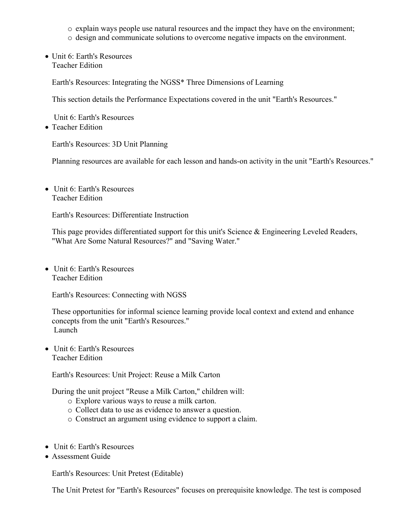o explain ways people use natural resources and the impact they have on the environment;

- o design and communicate solutions to overcome negative impacts on the environment.
- Unit 6: Earth's Resources Teacher Edition

Earth's Resources: Integrating the NGSS\* Three Dimensions of Learning

This section details the Performance Expectations covered in the unit "Earth's Resources."

Unit 6: Earth's Resources

• Teacher Edition

Earth's Resources: 3D Unit Planning

Planning resources are available for each lesson and hands-on activity in the unit "Earth's Resources."

• Unit 6: Earth's Resources Teacher Edition

Earth's Resources: Differentiate Instruction

This page provides differentiated support for this unit's Science & Engineering Leveled Readers, "What Are Some Natural Resources?" and "Saving Water."

• Unit 6: Earth's Resources Teacher Edition

Earth's Resources: Connecting with NGSS

These opportunities for informal science learning provide local context and extend and enhance concepts from the unit "Earth's Resources." Launch

• Unit 6: Earth's Resources Teacher Edition

Earth's Resources: Unit Project: Reuse a Milk Carton

During the unit project "Reuse a Milk Carton," children will:

- o Explore various ways to reuse a milk carton.
- o Collect data to use as evidence to answer a question.
- o Construct an argument using evidence to support a claim.
- Unit 6: Earth's Resources
- Assessment Guide

Earth's Resources: Unit Pretest (Editable)

The Unit Pretest for "Earth's Resources" focuses on prerequisite knowledge. The test is composed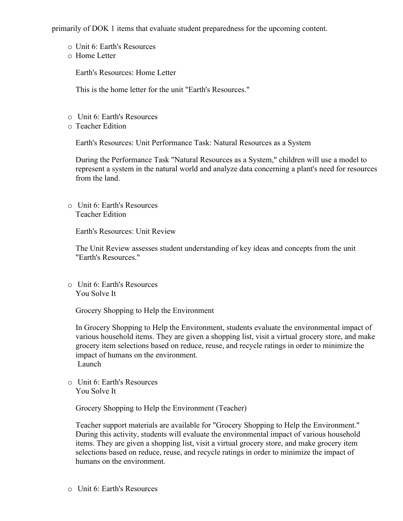primarily of DOK 1 items that evaluate student preparedness for the upcoming content.

- o Unit 6: Earth's Resources
- o Home Letter

Earth's Resources: Home Letter

This is the home letter for the unit "Earth's Resources."

- o Unit 6: Earth's Resources
- o Teacher Edition

Earth's Resources: Unit Performance Task: Natural Resources as a System

During the Performance Task "Natural Resources as a System," children will use a model to represent a system in the natural world and analyze data concerning a plant's need for resources from the land.

o Unit 6: Earth's Resources Teacher Edition

Earth's Resources: Unit Review

The Unit Review assesses student understanding of key ideas and concepts from the unit "Earth's Resources."

o Unit 6: Earth's Resources You Solve It

Grocery Shopping to Help the Environment

In Grocery Shopping to Help the Environment, students evaluate the environmental impact of various household items. They are given a shopping list, visit a virtual grocery store, and make grocery item selections based on reduce, reuse, and recycle ratings in order to minimize the impact of humans on the environment. Launch

o Unit 6: Earth's Resources You Solve It

Grocery Shopping to Help the Environment (Teacher)

Teacher support materials are available for "Grocery Shopping to Help the Environment." During this activity, students will evaluate the environmental impact of various household items. They are given a shopping list, visit a virtual grocery store, and make grocery item selections based on reduce, reuse, and recycle ratings in order to minimize the impact of humans on the environment.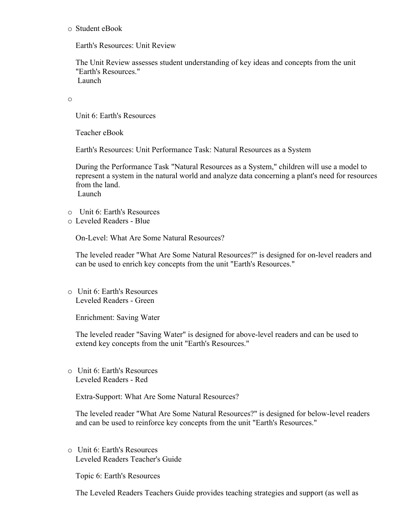#### o Student eBook

Earth's Resources: Unit Review

The Unit Review assesses student understanding of key ideas and concepts from the unit "Earth's Resources." Launch

o

Unit 6: Earth's Resources

Teacher eBook

Earth's Resources: Unit Performance Task: Natural Resources as a System

During the Performance Task "Natural Resources as a System," children will use a model to represent a system in the natural world and analyze data concerning a plant's need for resources from the land.

Launch

- o Unit 6: Earth's Resources
- o Leveled Readers Blue

On-Level: What Are Some Natural Resources?

The leveled reader "What Are Some Natural Resources?" is designed for on-level readers and can be used to enrich key concepts from the unit "Earth's Resources."

o Unit 6: Earth's Resources Leveled Readers - Green

Enrichment: Saving Water

The leveled reader "Saving Water" is designed for above-level readers and can be used to extend key concepts from the unit "Earth's Resources."

o Unit 6: Earth's Resources Leveled Readers - Red

Extra-Support: What Are Some Natural Resources?

The leveled reader "What Are Some Natural Resources?" is designed for below-level readers and can be used to reinforce key concepts from the unit "Earth's Resources."

o Unit 6: Earth's Resources Leveled Readers Teacher's Guide

Topic 6: Earth's Resources

The Leveled Readers Teachers Guide provides teaching strategies and support (as well as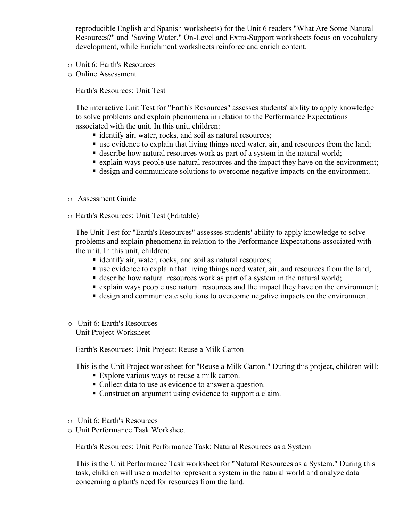reproducible English and Spanish worksheets) for the Unit 6 readers "What Are Some Natural Resources?" and "Saving Water." On-Level and Extra-Support worksheets focus on vocabulary development, while Enrichment worksheets reinforce and enrich content.

- o Unit 6: Earth's Resources
- o Online Assessment

Earth's Resources: Unit Test

The interactive Unit Test for "Earth's Resources" assesses students' ability to apply knowledge to solve problems and explain phenomena in relation to the Performance Expectations associated with the unit. In this unit, children:

- identify air, water, rocks, and soil as natural resources;
- use evidence to explain that living things need water, air, and resources from the land;
- **describe how natural resources work as part of a system in the natural world;**
- explain ways people use natural resources and the impact they have on the environment;
- design and communicate solutions to overcome negative impacts on the environment.
- o Assessment Guide
- o Earth's Resources: Unit Test (Editable)

The Unit Test for "Earth's Resources" assesses students' ability to apply knowledge to solve problems and explain phenomena in relation to the Performance Expectations associated with the unit. In this unit, children:

- identify air, water, rocks, and soil as natural resources;
- use evidence to explain that living things need water, air, and resources from the land;
- describe how natural resources work as part of a system in the natural world;
- explain ways people use natural resources and the impact they have on the environment;
- design and communicate solutions to overcome negative impacts on the environment.
- o Unit 6: Earth's Resources Unit Project Worksheet

Earth's Resources: Unit Project: Reuse a Milk Carton

This is the Unit Project worksheet for "Reuse a Milk Carton." During this project, children will:

- Explore various ways to reuse a milk carton.
- Collect data to use as evidence to answer a question.
- Construct an argument using evidence to support a claim.
- o Unit 6: Earth's Resources
- o Unit Performance Task Worksheet

Earth's Resources: Unit Performance Task: Natural Resources as a System

This is the Unit Performance Task worksheet for "Natural Resources as a System." During this task, children will use a model to represent a system in the natural world and analyze data concerning a plant's need for resources from the land.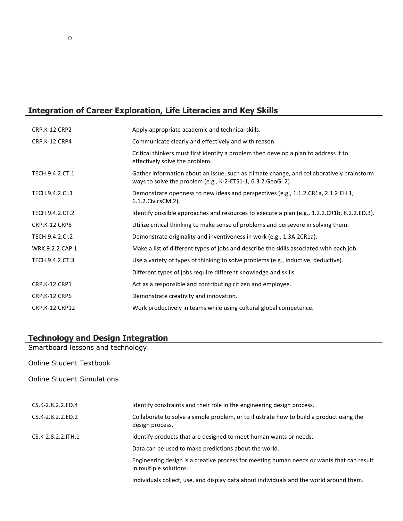# **Integration of Career Exploration, Life Literacies and Key Skills**

| <b>CRP.K-12.CRP2</b> | Apply appropriate academic and technical skills.                                                                                                          |
|----------------------|-----------------------------------------------------------------------------------------------------------------------------------------------------------|
| CRP.K-12.CRP4        | Communicate clearly and effectively and with reason.                                                                                                      |
|                      | Critical thinkers must first identify a problem then develop a plan to address it to<br>effectively solve the problem.                                    |
| TECH.9.4.2.CT.1      | Gather information about an issue, such as climate change, and collaboratively brainstorm<br>ways to solve the problem (e.g., K-2-ETS1-1, 6.3.2.GeoGI.2). |
| TECH.9.4.2.Cl.1      | Demonstrate openness to new ideas and perspectives (e.g., 1.1.2.CR1a, 2.1.2.EH.1,<br>6.1.2. Civics CM. 2).                                                |
| TECH.9.4.2.CT.2      | Identify possible approaches and resources to execute a plan (e.g., 1.2.2.CR1b, 8.2.2.ED.3).                                                              |
| CRP.K-12.CRP8        | Utilize critical thinking to make sense of problems and persevere in solving them.                                                                        |
| TECH.9.4.2.Cl.2      | Demonstrate originality and inventiveness in work (e.g., 1.3A.2CR1a).                                                                                     |
| WRK.9.2.2.CAP.1      | Make a list of different types of jobs and describe the skills associated with each job.                                                                  |
| TECH.9.4.2.CT.3      | Use a variety of types of thinking to solve problems (e.g., inductive, deductive).                                                                        |
|                      | Different types of jobs require different knowledge and skills.                                                                                           |
| <b>CRP.K-12.CRP1</b> | Act as a responsible and contributing citizen and employee.                                                                                               |
| CRP.K-12.CRP6        | Demonstrate creativity and innovation.                                                                                                                    |
| CRP.K-12.CRP12       | Work productively in teams while using cultural global competence.                                                                                        |

#### **Technology and Design Integration**

Smartboard lessons and technology.

Online Student Textbook

Online Student Simulations

| CS.K-2.8.2.2.ED.4  | Identify constraints and their role in the engineering design process.                                              |
|--------------------|---------------------------------------------------------------------------------------------------------------------|
| CS.K-2.8.2.2.ED.2  | Collaborate to solve a simple problem, or to illustrate how to build a product using the<br>design process.         |
| CS.K-2.8.2.2.ITH.1 | Identify products that are designed to meet human wants or needs.                                                   |
|                    | Data can be used to make predictions about the world.                                                               |
|                    | Engineering design is a creative process for meeting human needs or wants that can result<br>in multiple solutions. |
|                    | Individuals collect, use, and display data about individuals and the world around them.                             |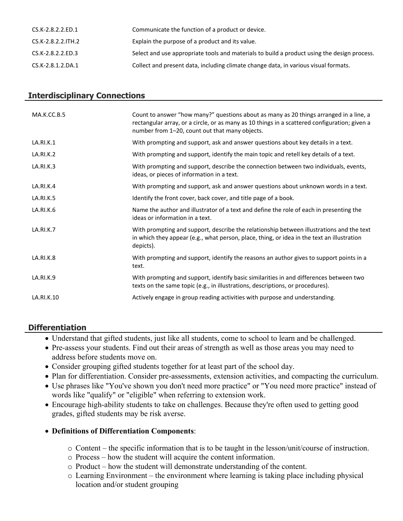| CS.K-2.8.2.2.ED.1  | Communicate the function of a product or device.                                            |
|--------------------|---------------------------------------------------------------------------------------------|
| CS.K-2.8.2.2.ITH.2 | Explain the purpose of a product and its value.                                             |
| CS.K-2.8.2.2.ED.3  | Select and use appropriate tools and materials to build a product using the design process. |
| CS.K-2.8.1.2.DA.1  | Collect and present data, including climate change data, in various visual formats.         |

# **Interdisciplinary Connections**

| MA.K.CC.B.5      | Count to answer "how many?" questions about as many as 20 things arranged in a line, a<br>rectangular array, or a circle, or as many as 10 things in a scattered configuration; given a<br>number from 1-20, count out that many objects. |
|------------------|-------------------------------------------------------------------------------------------------------------------------------------------------------------------------------------------------------------------------------------------|
| LA.RI.K.1        | With prompting and support, ask and answer questions about key details in a text.                                                                                                                                                         |
| LA.RI.K.2        | With prompting and support, identify the main topic and retell key details of a text.                                                                                                                                                     |
| LA.RI.K.3        | With prompting and support, describe the connection between two individuals, events,<br>ideas, or pieces of information in a text.                                                                                                        |
| LA.RI.K.4        | With prompting and support, ask and answer questions about unknown words in a text.                                                                                                                                                       |
| LA.RI.K.5        | Identify the front cover, back cover, and title page of a book.                                                                                                                                                                           |
| LA.RI.K.6        | Name the author and illustrator of a text and define the role of each in presenting the<br>ideas or information in a text.                                                                                                                |
| LA.RI.K.7        | With prompting and support, describe the relationship between illustrations and the text<br>in which they appear (e.g., what person, place, thing, or idea in the text an illustration<br>depicts).                                       |
| <b>LA.RI.K.8</b> | With prompting and support, identify the reasons an author gives to support points in a<br>text.                                                                                                                                          |
| LA.RI.K.9        | With prompting and support, identify basic similarities in and differences between two<br>texts on the same topic (e.g., in illustrations, descriptions, or procedures).                                                                  |
| LA.RI.K.10       | Actively engage in group reading activities with purpose and understanding.                                                                                                                                                               |

# **Differentiation**

- Understand that gifted students, just like all students, come to school to learn and be challenged.
- Pre-assess your students. Find out their areas of strength as well as those areas you may need to address before students move on.
- Consider grouping gifted students together for at least part of the school day.
- Plan for differentiation. Consider pre-assessments, extension activities, and compacting the curriculum.
- Use phrases like "You've shown you don't need more practice" or "You need more practice" instead of words like "qualify" or "eligible" when referring to extension work.
- Encourage high-ability students to take on challenges. Because they're often used to getting good grades, gifted students may be risk averse.

# **Definitions of Differentiation Components**:

- o Content the specific information that is to be taught in the lesson/unit/course of instruction.
- o Process how the student will acquire the content information.
- o Product how the student will demonstrate understanding of the content.
- o Learning Environment the environment where learning is taking place including physical location and/or student grouping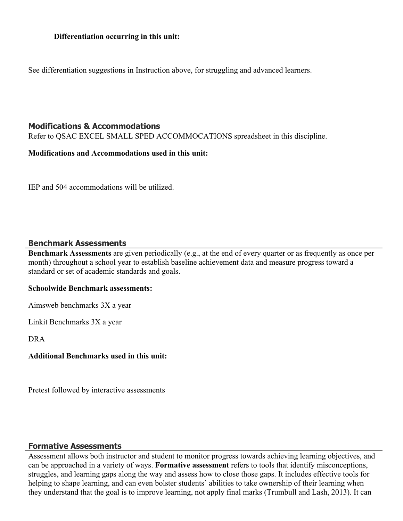See differentiation suggestions in Instruction above, for struggling and advanced learners.

# **Modifications & Accommodations**

Refer to QSAC EXCEL SMALL SPED ACCOMMOCATIONS spreadsheet in this discipline.

#### **Modifications and Accommodations used in this unit:**

IEP and 504 accommodations will be utilized.

# **Benchmark Assessments**

**Benchmark Assessments** are given periodically (e.g., at the end of every quarter or as frequently as once per month) throughout a school year to establish baseline achievement data and measure progress toward a standard or set of academic standards and goals.

# **Schoolwide Benchmark assessments:**

Aimsweb benchmarks 3X a year

Linkit Benchmarks 3X a year

DRA

# **Additional Benchmarks used in this unit:**

Pretest followed by interactive assessments

# **Formative Assessments**

Assessment allows both instructor and student to monitor progress towards achieving learning objectives, and can be approached in a variety of ways. **Formative assessment** refers to tools that identify misconceptions, struggles, and learning gaps along the way and assess how to close those gaps. It includes effective tools for helping to shape learning, and can even bolster students' abilities to take ownership of their learning when they understand that the goal is to improve learning, not apply final marks (Trumbull and Lash, 2013). It can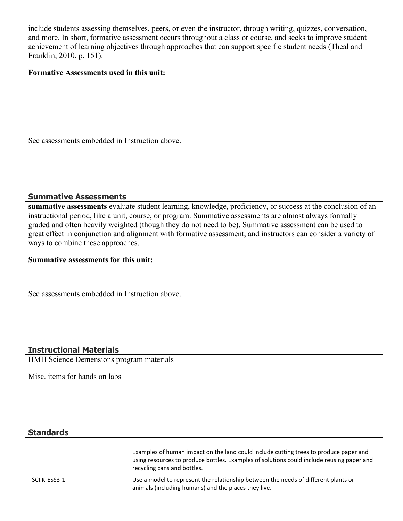include students assessing themselves, peers, or even the instructor, through writing, quizzes, conversation, and more. In short, formative assessment occurs throughout a class or course, and seeks to improve student achievement of learning objectives through approaches that can support specific student needs (Theal and Franklin, 2010, p. 151).

#### **Formative Assessments used in this unit:**

See assessments embedded in Instruction above.

# **Summative Assessments**

**summative assessments** evaluate student learning, knowledge, proficiency, or success at the conclusion of an instructional period, like a unit, course, or program. Summative assessments are almost always formally graded and often heavily weighted (though they do not need to be). Summative assessment can be used to great effect in conjunction and alignment with formative assessment, and instructors can consider a variety of ways to combine these approaches.

#### **Summative assessments for this unit:**

See assessments embedded in Instruction above.

# **Instructional Materials**

HMH Science Demensions program materials

Misc. items for hands on labs

#### **Standards**

Examples of human impact on the land could include cutting trees to produce paper and using resources to produce bottles. Examples of solutions could include reusing paper and recycling cans and bottles.

SCI.K-ESS3-1 Use a model to represent the relationship between the needs of different plants or animals (including humans) and the places they live.